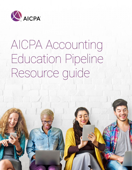

# AICPA Accounting Education Pipeline Resource guide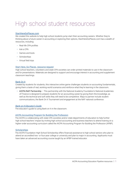## High school student resources

#### [StartHereGoPlaces.com](https://www.startheregoplaces.com)

We created this website to help high school students jump-start their accounting careers. Whether they're thinking about a future career in accounting or exploring their options, StartHereGoPlaces.com has a wealth of resources, including:

- Real-life CPA profiles
- Ask a CPA
- Games and tools
- Scholarships
- Virtual field trips

#### [Start Here, Go Places. resource request](https://www.startheregoplaces.com/teacher/classroom-resources)

High school teachers, volunteers and state CPA societies can order printed materials to use in the classroom and for presentations. Materials are designed to support and encourage interest in accounting and supplement classroom teachings.

#### [Bank On It](https://www.startheregoplaces.com/students/games-tools/bank-on-it)

Created by students for students, this interactive online game challenges students on accounting fundamentals, giving them a taste of real, working-world scenarios and reinforce what they're learning in the classroom.

• AICPA/NAF Partnership – This partnership with the National Academy Foundation's National Academies of Finance is designed to prepare students for an accounting career by giving them the knowledge, as well as the technical and soft skills they will need to be competitive. Ways to partner include student communications, the Bank On It Tournament and engagement at the NAF national conference.

#### *[Bank on It Educator's Guide](https://www.startheregoplaces.com/teacher/classroom-resources/bank-it-game-and-educators-guide/)*

The educator's guide to using Bank on It in the classroom.

#### [AICPA Accounting Program for Building the Profession](https://www.startheregoplaces.com/teacher/apbp-advanced-accounting/)

The AICPA is collaborating with state CPA societies and/or state departments of education to help further high school teachers' impact by inviting high school accounting and business teachers to attend training on a higher-order accounting curriculum called the AICPA Accounting Program for Building the Profession (APBP).

#### **[Scholarships](https://www.startheregoplaces.com/students/becoming-a-cpa/scholarship/)**

The AICPA Foundation High School Scholarship offers financial assistance to high school seniors who plan to attend an accredited two- or four-year college or university and plan to major in accounting. Applicants must have taken an advanced accounting course taught by an APBP-trained educator.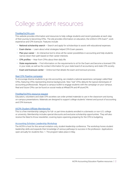### College student resources

#### [ThisWayToCPA.com](http://www.thiswaytocpa.com/)

This website provides information and resources to help college students and recent graduates at each step of their journey to becoming CPAs. The site provides information on education, the Uniform CPA Exam™, work experience and CPA licensure. Features include:

- National scholarship search Search and apply for scholarships to assist with educational expenses.
- Exam diaries Learn about what strategies helped CPA Exam passers.
- Plan your career An interactive tool to show all the career possibilities in accounting and help students narrow down their path based on their career interests.
- CPA profiles Hear from CPAs about their daily life.
- State requirements Find information on the requirements to sit for the Exam and become a licensed CPA in your state, as well as the contact information for your state board of accountancy and state CPA society.
- $\cdot$  Exam and licensure center  $-$  Online tool that details the exam and licensure process.

#### [Real CPA Pipeline campaign](https://www.thiswaytocpa.com/program/RealCPAs?utm_source=materials&utm_medium=all&utm_campaign=RealCPAs)

To encourage diverse students to go into accounting, we created a national awareness campaign called Real CPAs, featuring CPAs representing diverse backgrounds. New "real" CPAs debunk the typical stereotypes of accounting professionals. Request a campus toolkit to engage students with the campaign on your campus. Real and future CPAs can be found on social media at #RealCPA and #FutureCPA.

#### [ThisWayToCPA's resource request](https://thiswaytocpa.com/resources/)

Educators, volunteers and state CPA societies can order printed materials to use in the classroom and during on-campus presentations. Materials are designed to support college students' interest and pursuit of accounting and CPA licensure.

#### [AICPA Student Affiliate Membership](https://www.thiswaytocpa.com/aicpa-student-membership/)

This is a free membership category for full- or part-time students enrolled in a domestic or non-U.S. college or university. Membership includes special discounts and exclusive scholarship opportunities. They will also receive the *Need to Know* newsletter, covering topics spanning preparing for the CPA to budgeting.

#### [Accounting Scholars Leadership Workshop](https://www.aicpa.org/career/diversityinitiatives/aslw.html)

The AICPA is host for this annual invitation-only, student-leadership conference. The workshop hones student leadership skills and expands their knowledge of various pathways to success in the profession. Applications open annually for students Nov. 1. The program takes place in May.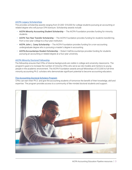#### [AICPA Legacy Scholarships](https://thiswaytocpa.com/education/aicpa-legacy-scholarships/)

This provides scholarship awards ranging from \$1,000–\$10,000 for college students pursuing an accounting or related degree who will pursue CPA licensure. Scholarship awards include:

- AICPA Minority Accounting Student Scholarship The AICPA Foundation provides funding for minority students.
- AICPA Two-Year Transfer Scholarship  $-$  The AICPA Foundation provides funding for students transferring from a two-year college to a four-year institution.
- AICPA John L. Carey Scholarship The AICPA Foundation provides funding for a non-accounting undergraduate degree who is pursuing a master's degree in accounting.
- AICPA/Accountemps Student Scholarship Robert Half/Accountemps provides funding for students pursuing an accounting or related degree at a four-year university.

#### [AICPA Minority Doctoral Fellowship](https://www.aicpa.org/career/diversityinitiatives/fmds.html)

The fellowship ensures that CPAs of diverse backgrounds are visible in college and university classrooms. The program's goal is to increase the number of minority CPAs who serve as role models and mentors to young people in the academic environment. The AICPA Foundation awards annual fellowships of \$12,000 to full-time minority accounting Ph.D. scholars who demonstrate significant potential to become accounting educators.

#### [The Accounting Doctoral Scholars Program](https://www.adsphd.org/)

CPAs can earn their Ph.D. and give the accounting students of tomorrow the benefit of their knowledge, skill and expertise. The program provides access to a community of like-minded doctoral students and support.

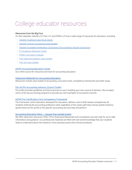### College educator resources

#### Resources from the Big Four

On their websites, Deloitte LLP, PwC, EY and KPMG LLP host a wide range of resources for educators, including:

- [Deloitte Trueblood Case Study Series](https://www2.deloitte.com/us/en/pages/about-deloitte/articles/trueblood-case-studies-deloitte-foundation.html)
- [Deloitte Forensic Accounting Case Studies](https://www2.deloitte.com/us/en/pages/about-deloitte/articles/forensic-accounting-case-studies.html)
- [Deloitte Foundation/Federation of Schools of Accountancy Faculty Consortium](https://www2.deloitte.com/us/en/pages/about-deloitte/articles/deloitte-foundation-fsa-faculty-consortium.html)
- [EY Academic Resource Center](http://www.ey.com/publication/vwluassets/ey_academic_resource_center/$file/eyarc-brochure.pdf)
- [KPMG curriculum modules](https://www.kpmguniversityconnection.com/search)
- [PwC data and analytics case studies](https://www.pwc.com/us/en/careers/university-relations/data-and-analytics-case-studies.html)
- [PwC tax case studies](https://www.pwc.com/us/en/careers/university_relations/documents/2017_Symp_Introduction_PwC_Tax_Case_Studies_in_Taxation_2017.pdf)

#### [AICPA Accounting Education Center](http://www.aicpa.org/academics)

Our online source for resources and tools for accounting educators.

#### [Classroom Materials for Accounting Educators](https://www.aicpa.org/interestareas/accountingeducation/resources/classroommaterials.html)

Resources include case studies of accounting, curriculum tools, competency frameworks and other areas.

#### [The AICPA A](https://www.aicpa.org/interestareas/accountingeducation/resources/aicpa-accounting-advisory-council-toolkit.html)ccounting Advisory Council Toolkit

The toolkit provides guidelines and best practices to use in building your own council of advisers. We surveyed some of the top accounting programs to provide you with examples of successful councils.

#### [AICPA Pre-Certification Core Competency Framework](https://www.aicpa.org/interestareas/accountingeducation/resources/corecompetency.html)

The Framework, which educators developed for educators, defines a set of skills-based competencies all students entering the accounting profession need, regardless of the career path they choose (public/industry/ government/not-for-profit) or the specific accounting services they will perform.

#### Accounting Education Store - request free sample books!

We offer classroom resources CPAs, CFOs, financial professionals and consultants use every day for up-to-date information and guidance. Our professional materials are filled with real-world knowledge that your students need to understand about the industry's most pressing issues and critical procedures.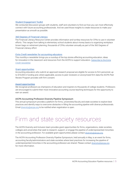#### [Student Engagement Toolkit](https://www.aicpa.org/interestareas/accountingeducation/resources/student-engagement-toolkit.html)

We conducted discussion groups with students, staff and volunteers to find out how you can most effectively connect with future accounting professionals. And we used those insights to create resources to make your presentation as smooth as possible.

#### [360 Degrees of Financial Literacy](https://www.aicpa.org/volunteer/financialliteracyresourcecenter.html)

The Financial Literacy Resource Center provides information and turnkey resources for CPAs to use in volunteer efforts. This ranges from talking to elementary school students about money basics to organizing workplace brown bags on retirement planning, thousands of CPAs volunteer annually as part of the 360 Degrees of Financial Literacy effort.

#### *Extra Credit* [newsletter for accounting educators](https://www.aicpa.org/interestareas/accountingeducation/newsandpublications/extracreditnewsletter.html)

This monthly e-newsletter brings you a roundup of the top stories affecting accounting education, ideas for innovation in the classroom and resources from the AICPA to support educators. [Subscribe to the](https://journalofaccountancy.wufoo.com/forms/extra-credit-newsletter/) *Extra Credit* [newsletter.](https://journalofaccountancy.wufoo.com/forms/extra-credit-newsletter/)

#### [Grant opportunities](https://www.aicpa.org/interestareas/peerreview/assuranceresearchadvisorygroup-home.html)

Accounting educators who submit an approved research proposal are eligible for access to firm personnel, up to \$15,000 in funding and, where applicable, access to peer reviewers or anonymized firm data the AICPA Peer Review Program provides with firm consent.

#### [Award opportunities](https://www.aicpa.org/interestareas/accountingeducation/resources/awards.html)

We recognize professors as champions of education and inspirers to thousands of college students. Professors are encouraged to submit their most innovative accounting course teaching techniques for the opportunity to earn an award.

#### AICPA Accounting Profession Diversity Pipeline Symposium

This annual symposium provides a platform for firms, universities/faculty and state societies to explore best practices and identify ways to overcome obstacles in filling the accounting pipeline with diverse professionals. Email [diversity@aicpa.org](mailto:diversity%40aicpa.org?subject=) to be notified when registration is open.

### Firm and state society resources

The AICPA Diversity and Inclusion team provides grant opportunities for firms, organizations, state societies, colleges and universities that seek to research, support, or engage the pipeline of underrepresented minorities in the accounting profession. For available grant opportunities please contact diversity@aicpa.org.

The AICPA Accounting Profession Diversity Pipeline Symposium, held annually in May, is an event for firms, accounting faculty/administrators and state societies where best practices for increasing the pipeline of underrepresented minorities in the accounting profession are shared. Please contact diversity@aicpa.org for more information.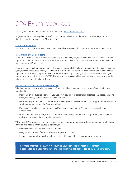### CPA Exam resources

State-by-state requirements to sit for the Exam are at [nasba.org/stateboards](http://nasba.org/stateboards).

To get news and industry updates specific to your individual state, [visit](https://www.aicpa.org/advocacy/state/statecontactinfo.html) the AICPA contacts page for the U.S. Boards of Accountancy and CPA state societies.

#### [CPA Exam Blueprints](https://www.aicpa.org/examblueprints)

Published once or twice per year, these blueprints outline all content that may be tested in each Exam section.

#### [CPA Tutorial and Sample Tests](https://www.aicpa.org/cpaexam)

The tutorial topics explain the Exam's functionality of question types, tools, resources and navigation. Tutorial topics are under the "Help" button within each sample test. The tutorial is not available at test centers and does not contain actual Exam content.

There is a sample test for each section of the Exam. The sample tests let you practice with the Exam's question types, tools and resources as they will function in a Prometric test center. You can answer test questions that represent all the question types on the Exam: Multiple-choice questions (MCQ), task-based simulations (TBS) and written communication tasks (WCT). The sample questions provide an answer key but are not intended to reflect your readiness to take the Exam.

#### [Exam Candidate Affiliate AICPA Membership](https://www.aicpa.org/membership/join.html?tab-1=5)

Whether you're a college student or an active Exam candidate, there are numerous benefits to signing up for membership:

- Discounts on products and services you use every day for your personal and professional needs, including travel, technology, office supplies, shipping and more
- Networking opportunities conferences, volunteer groups and task forces plus support through advisory service communities and the Benevolent Fund
- Professional development and Continuing Professional Education (CPE) conferences, events and opportunities
- Newsletters and magazines, from the *Journal of Accountancy* to *CPA Letter Daily*, offering the latest news and developments in the accounting profession

While the AICPA does not endorse or promote any specific review course provider, we encourage you to do your research and see if a review course is right for you.

- Review courses offer sample tests and materials.
- Many review courses offer both online and in-person classes.
- In some cases, employers will offset the partial or full cost of their employee's review course.

For more information on AICPA Accounting Education Pipeline resources, contact Florence Holland, Lead Manager - Pipeline Initiatives, at Florence. Holland@aicpa-cima.com.